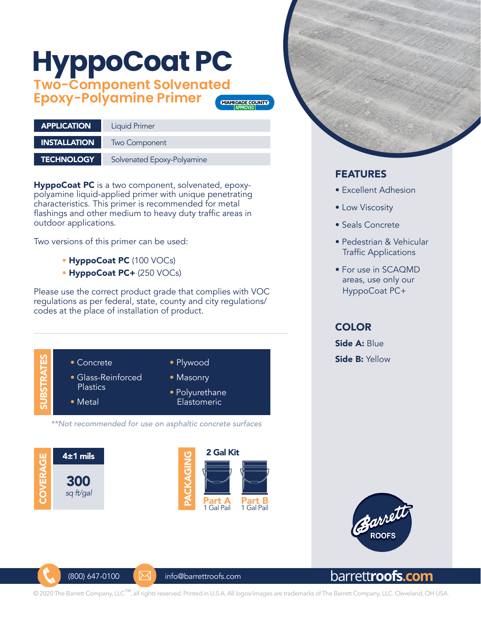# **HyppoCoat PC**

**Two-Component Solvenated Epoxy-Polyamine Primer**



| <b>APPLICATION</b>  | <b>Liquid Primer</b>       |
|---------------------|----------------------------|
| <b>INSTALLATION</b> | Two Component              |
|                     |                            |
| <b>TECHNOLOGY</b>   | Solvenated Epoxy-Polyamine |

HyppoCoat PC is a two component, solvenated, epoxypolyamine liquid-applied primer with unique penetrating characteristics. This primer is recommended for metal flashings and other medium to heavy duty traffic areas in outdoor applications.

Two versions of this primer can be used:

- HyppoCoat PC (100 VOCs)
- HyppoCoat PC+ (250 VOCs)

Please use the correct product grade that complies with VOC regulations as per federal, state, county and city regulations/ codes at the place of installation of product.



 $(800)$  647-0100  $\blacksquare$  info@barrettroofs.com







- Excellent Adhesion
- Low Viscosity
- Seals Concrete
- Pedestrian & Vehicular Traffic Applications
- For use in SCAQMD areas, use only our HyppoCoat PC+

### **COLOR**

Side A: Blue Side B: Yellow



## barrett**roofs.com**

© 2020 The Barrett Company, LLC™, all rights reserved. Printed in U.S.A. All logos/images are trademarks of The Barrett Company, LLC. Cleveland, OH USA.